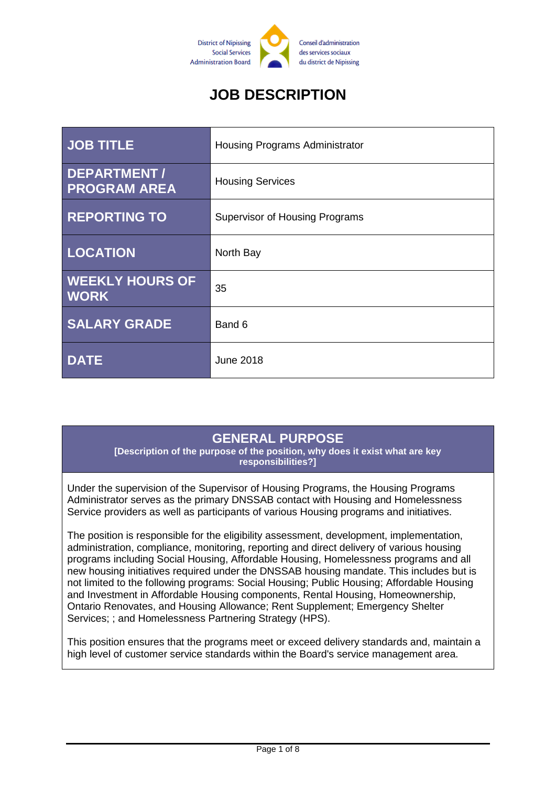

# **JOB DESCRIPTION**

| <b>JOB TITLE</b>                      | Housing Programs Administrator        |
|---------------------------------------|---------------------------------------|
| DEPARTMENT /<br><b>PROGRAM AREA</b>   | <b>Housing Services</b>               |
| <b>REPORTING TO</b>                   | <b>Supervisor of Housing Programs</b> |
| LOCATION                              | North Bay                             |
| <b>WEEKLY HOURS OF</b><br><b>WORK</b> | 35                                    |
| <b>SALARY GRADE</b>                   | Band 6                                |
| <b>DATE</b>                           | <b>June 2018</b>                      |

### **GENERAL PURPOSE**

**[Description of the purpose of the position, why does it exist what are key responsibilities?]**

Under the supervision of the Supervisor of Housing Programs, the Housing Programs Administrator serves as the primary DNSSAB contact with Housing and Homelessness Service providers as well as participants of various Housing programs and initiatives.

The position is responsible for the eligibility assessment, development, implementation, administration, compliance, monitoring, reporting and direct delivery of various housing programs including Social Housing, Affordable Housing, Homelessness programs and all new housing initiatives required under the DNSSAB housing mandate. This includes but is not limited to the following programs: Social Housing; Public Housing; Affordable Housing and Investment in Affordable Housing components, Rental Housing, Homeownership, Ontario Renovates, and Housing Allowance; Rent Supplement; Emergency Shelter Services; ; and Homelessness Partnering Strategy (HPS).

This position ensures that the programs meet or exceed delivery standards and, maintain a high level of customer service standards within the Board's service management area.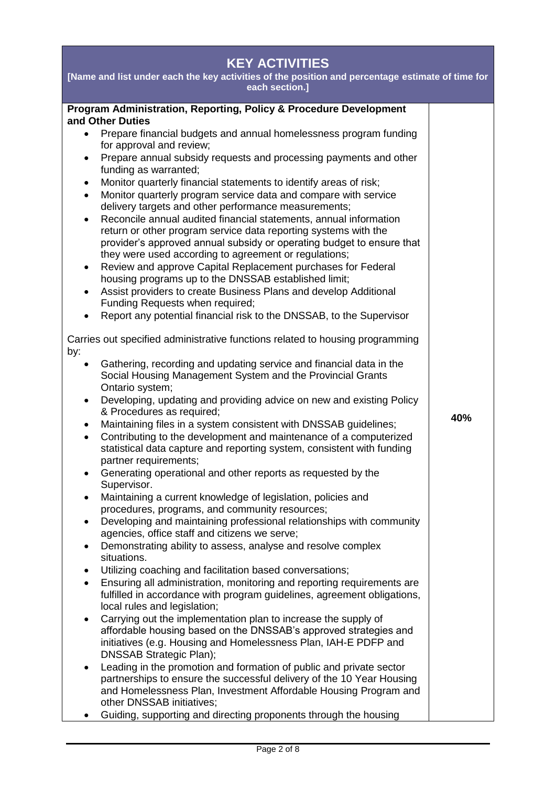| [Name and list under each the key activities of the position and percentage estimate of time for                                                                                                                                                                                                                                                                                                                                                                                                                                                                                                                                                                                                                                                                                                                                                                                                                                                                                                                                                                                                                                                                                                                                                                                                                                                                                                                                                                                                                                                                                                                                                                                                                                                                                                                                                                                                                                         |  |
|------------------------------------------------------------------------------------------------------------------------------------------------------------------------------------------------------------------------------------------------------------------------------------------------------------------------------------------------------------------------------------------------------------------------------------------------------------------------------------------------------------------------------------------------------------------------------------------------------------------------------------------------------------------------------------------------------------------------------------------------------------------------------------------------------------------------------------------------------------------------------------------------------------------------------------------------------------------------------------------------------------------------------------------------------------------------------------------------------------------------------------------------------------------------------------------------------------------------------------------------------------------------------------------------------------------------------------------------------------------------------------------------------------------------------------------------------------------------------------------------------------------------------------------------------------------------------------------------------------------------------------------------------------------------------------------------------------------------------------------------------------------------------------------------------------------------------------------------------------------------------------------------------------------------------------------|--|
| each section.]                                                                                                                                                                                                                                                                                                                                                                                                                                                                                                                                                                                                                                                                                                                                                                                                                                                                                                                                                                                                                                                                                                                                                                                                                                                                                                                                                                                                                                                                                                                                                                                                                                                                                                                                                                                                                                                                                                                           |  |
| Program Administration, Reporting, Policy & Procedure Development<br>and Other Duties<br>Prepare financial budgets and annual homelessness program funding<br>$\bullet$<br>for approval and review;<br>Prepare annual subsidy requests and processing payments and other<br>$\bullet$<br>funding as warranted;<br>Monitor quarterly financial statements to identify areas of risk;<br>$\bullet$<br>Monitor quarterly program service data and compare with service<br>$\bullet$<br>delivery targets and other performance measurements;<br>Reconcile annual audited financial statements, annual information<br>$\bullet$<br>return or other program service data reporting systems with the<br>provider's approved annual subsidy or operating budget to ensure that<br>they were used according to agreement or regulations;<br>Review and approve Capital Replacement purchases for Federal<br>٠<br>housing programs up to the DNSSAB established limit;<br>Assist providers to create Business Plans and develop Additional<br>$\bullet$<br>Funding Requests when required;                                                                                                                                                                                                                                                                                                                                                                                                                                                                                                                                                                                                                                                                                                                                                                                                                                                         |  |
| Report any potential financial risk to the DNSSAB, to the Supervisor<br>Carries out specified administrative functions related to housing programming<br>by:<br>Gathering, recording and updating service and financial data in the<br>Social Housing Management System and the Provincial Grants<br>Ontario system;<br>Developing, updating and providing advice on new and existing Policy<br>$\bullet$<br>& Procedures as required;<br>40%<br>Maintaining files in a system consistent with DNSSAB guidelines;<br>٠<br>Contributing to the development and maintenance of a computerized<br>$\bullet$<br>statistical data capture and reporting system, consistent with funding<br>partner requirements;<br>Generating operational and other reports as requested by the<br>Supervisor.<br>Maintaining a current knowledge of legislation, policies and<br>$\bullet$<br>procedures, programs, and community resources;<br>Developing and maintaining professional relationships with community<br>$\bullet$<br>agencies, office staff and citizens we serve;<br>Demonstrating ability to assess, analyse and resolve complex<br>situations.<br>Utilizing coaching and facilitation based conversations;<br>$\bullet$<br>Ensuring all administration, monitoring and reporting requirements are<br>$\bullet$<br>fulfilled in accordance with program guidelines, agreement obligations,<br>local rules and legislation;<br>Carrying out the implementation plan to increase the supply of<br>$\bullet$<br>affordable housing based on the DNSSAB's approved strategies and<br>initiatives (e.g. Housing and Homelessness Plan, IAH-E PDFP and<br>DNSSAB Strategic Plan);<br>Leading in the promotion and formation of public and private sector<br>$\bullet$<br>partnerships to ensure the successful delivery of the 10 Year Housing<br>and Homelessness Plan, Investment Affordable Housing Program and<br>other DNSSAB initiatives; |  |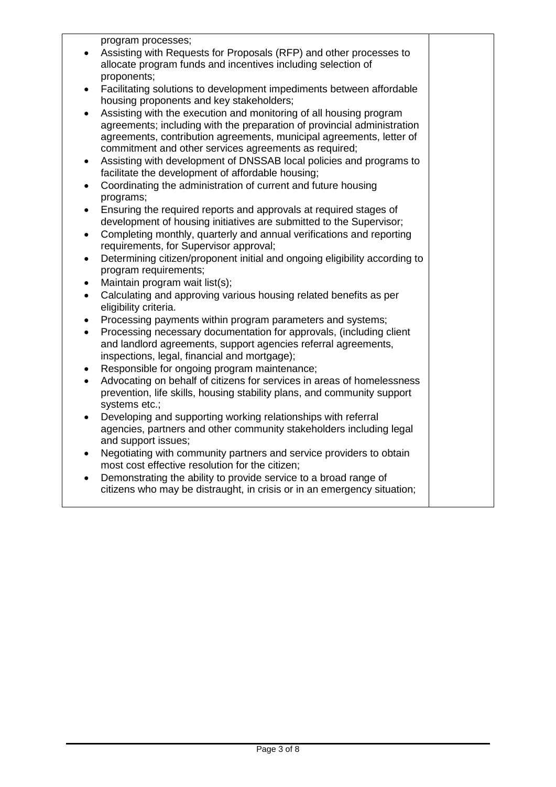program processes;

- Assisting with Requests for Proposals (RFP) and other processes to allocate program funds and incentives including selection of proponents;
- Facilitating solutions to development impediments between affordable housing proponents and key stakeholders;
- Assisting with the execution and monitoring of all housing program agreements; including with the preparation of provincial administration agreements, contribution agreements, municipal agreements, letter of commitment and other services agreements as required;
- Assisting with development of DNSSAB local policies and programs to facilitate the development of affordable housing;
- Coordinating the administration of current and future housing programs;
- Ensuring the required reports and approvals at required stages of development of housing initiatives are submitted to the Supervisor;
- Completing monthly, quarterly and annual verifications and reporting requirements, for Supervisor approval;
- Determining citizen/proponent initial and ongoing eligibility according to program requirements;
- Maintain program wait list(s):
- Calculating and approving various housing related benefits as per eligibility criteria.
- Processing payments within program parameters and systems:
- Processing necessary documentation for approvals, (including client and landlord agreements, support agencies referral agreements, inspections, legal, financial and mortgage);
- Responsible for ongoing program maintenance;
- Advocating on behalf of citizens for services in areas of homelessness prevention, life skills, housing stability plans, and community support systems etc.;
- Developing and supporting working relationships with referral agencies, partners and other community stakeholders including legal and support issues;
- Negotiating with community partners and service providers to obtain most cost effective resolution for the citizen;
- Demonstrating the ability to provide service to a broad range of citizens who may be distraught, in crisis or in an emergency situation;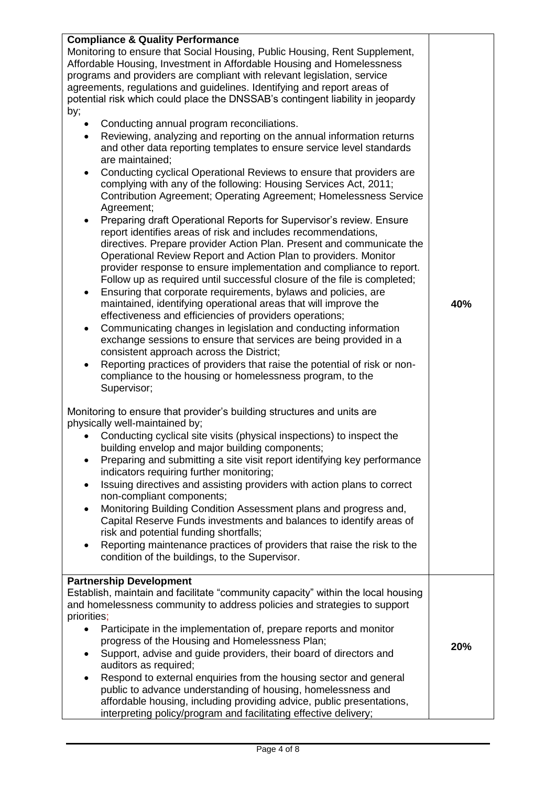| <b>Compliance &amp; Quality Performance</b><br>Monitoring to ensure that Social Housing, Public Housing, Rent Supplement,<br>Affordable Housing, Investment in Affordable Housing and Homelessness<br>programs and providers are compliant with relevant legislation, service<br>agreements, regulations and guidelines. Identifying and report areas of<br>potential risk which could place the DNSSAB's contingent liability in jeopardy<br>by;<br>Conducting annual program reconciliations.<br>Reviewing, analyzing and reporting on the annual information returns<br>and other data reporting templates to ensure service level standards<br>are maintained;<br>Conducting cyclical Operational Reviews to ensure that providers are<br>$\bullet$<br>complying with any of the following: Housing Services Act, 2011;<br>Contribution Agreement; Operating Agreement; Homelessness Service<br>Agreement;<br>Preparing draft Operational Reports for Supervisor's review. Ensure<br>report identifies areas of risk and includes recommendations,<br>directives. Prepare provider Action Plan. Present and communicate the<br>Operational Review Report and Action Plan to providers. Monitor<br>provider response to ensure implementation and compliance to report.<br>Follow up as required until successful closure of the file is completed;<br>Ensuring that corporate requirements, bylaws and policies, are<br>$\bullet$<br>maintained, identifying operational areas that will improve the<br>effectiveness and efficiencies of providers operations;<br>Communicating changes in legislation and conducting information<br>exchange sessions to ensure that services are being provided in a | 40% |
|-------------------------------------------------------------------------------------------------------------------------------------------------------------------------------------------------------------------------------------------------------------------------------------------------------------------------------------------------------------------------------------------------------------------------------------------------------------------------------------------------------------------------------------------------------------------------------------------------------------------------------------------------------------------------------------------------------------------------------------------------------------------------------------------------------------------------------------------------------------------------------------------------------------------------------------------------------------------------------------------------------------------------------------------------------------------------------------------------------------------------------------------------------------------------------------------------------------------------------------------------------------------------------------------------------------------------------------------------------------------------------------------------------------------------------------------------------------------------------------------------------------------------------------------------------------------------------------------------------------------------------------------------------------------------------------------------------------|-----|
| consistent approach across the District;<br>Reporting practices of providers that raise the potential of risk or non-<br>$\bullet$<br>compliance to the housing or homelessness program, to the<br>Supervisor;                                                                                                                                                                                                                                                                                                                                                                                                                                                                                                                                                                                                                                                                                                                                                                                                                                                                                                                                                                                                                                                                                                                                                                                                                                                                                                                                                                                                                                                                                              |     |
| Monitoring to ensure that provider's building structures and units are<br>physically well-maintained by;<br>Conducting cyclical site visits (physical inspections) to inspect the<br>building envelop and major building components;<br>Preparing and submitting a site visit report identifying key performance<br>$\bullet$<br>indicators requiring further monitoring;<br>Issuing directives and assisting providers with action plans to correct<br>$\bullet$<br>non-compliant components;<br>Monitoring Building Condition Assessment plans and progress and,<br>$\bullet$<br>Capital Reserve Funds investments and balances to identify areas of<br>risk and potential funding shortfalls;<br>Reporting maintenance practices of providers that raise the risk to the<br>$\bullet$<br>condition of the buildings, to the Supervisor.                                                                                                                                                                                                                                                                                                                                                                                                                                                                                                                                                                                                                                                                                                                                                                                                                                                                  |     |
| <b>Partnership Development</b><br>Establish, maintain and facilitate "community capacity" within the local housing<br>and homelessness community to address policies and strategies to support<br>priorities;<br>Participate in the implementation of, prepare reports and monitor<br>$\bullet$<br>progress of the Housing and Homelessness Plan;<br>Support, advise and guide providers, their board of directors and<br>auditors as required;<br>Respond to external enquiries from the housing sector and general<br>public to advance understanding of housing, homelessness and<br>affordable housing, including providing advice, public presentations,<br>interpreting policy/program and facilitating effective delivery;                                                                                                                                                                                                                                                                                                                                                                                                                                                                                                                                                                                                                                                                                                                                                                                                                                                                                                                                                                           | 20% |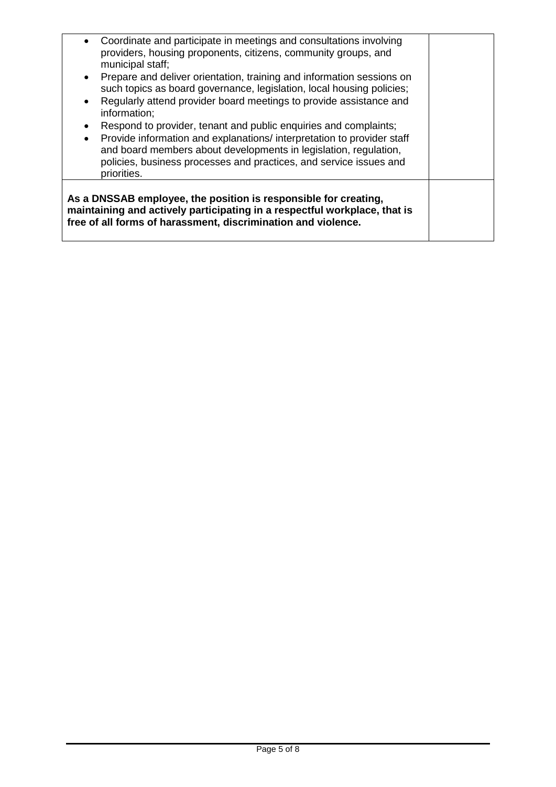| Coordinate and participate in meetings and consultations involving<br>$\bullet$<br>providers, housing proponents, citizens, community groups, and<br>municipal staff;<br>Prepare and deliver orientation, training and information sessions on<br>$\bullet$<br>such topics as board governance, legislation, local housing policies;<br>Regularly attend provider board meetings to provide assistance and<br>$\bullet$<br>information;<br>Respond to provider, tenant and public enquiries and complaints;<br>$\bullet$<br>Provide information and explanations/ interpretation to provider staff<br>$\bullet$<br>and board members about developments in legislation, regulation,<br>policies, business processes and practices, and service issues and<br>priorities. |  |  |
|--------------------------------------------------------------------------------------------------------------------------------------------------------------------------------------------------------------------------------------------------------------------------------------------------------------------------------------------------------------------------------------------------------------------------------------------------------------------------------------------------------------------------------------------------------------------------------------------------------------------------------------------------------------------------------------------------------------------------------------------------------------------------|--|--|
| As a DNSSAB employee, the position is responsible for creating,                                                                                                                                                                                                                                                                                                                                                                                                                                                                                                                                                                                                                                                                                                          |  |  |
| maintaining and actively participating in a respectful workplace, that is<br>free of all forms of harassment, discrimination and violence.                                                                                                                                                                                                                                                                                                                                                                                                                                                                                                                                                                                                                               |  |  |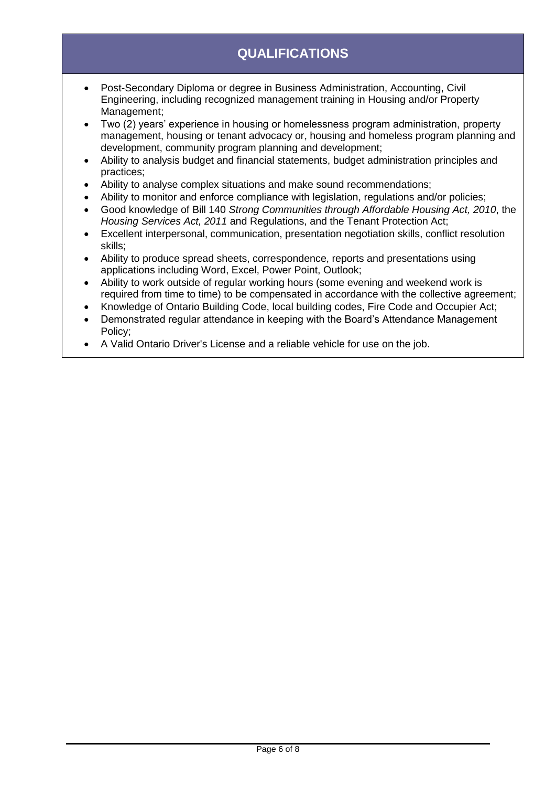# **QUALIFICATIONS**

- Post-Secondary Diploma or degree in Business Administration, Accounting, Civil Engineering, including recognized management training in Housing and/or Property Management:
- Two (2) years' experience in housing or homelessness program administration, property management, housing or tenant advocacy or, housing and homeless program planning and development, community program planning and development;
- Ability to analysis budget and financial statements, budget administration principles and practices;
- Ability to analyse complex situations and make sound recommendations;
- Ability to monitor and enforce compliance with legislation, regulations and/or policies;
- Good knowledge of Bill 140 *Strong Communities through Affordable Housing Act, 2010*, the *Housing Services Act, 2011* and Regulations, and the Tenant Protection Act;
- Excellent interpersonal, communication, presentation negotiation skills, conflict resolution skills;
- Ability to produce spread sheets, correspondence, reports and presentations using applications including Word, Excel, Power Point, Outlook;
- Ability to work outside of regular working hours (some evening and weekend work is required from time to time) to be compensated in accordance with the collective agreement;
- Knowledge of Ontario Building Code, local building codes, Fire Code and Occupier Act;
- Demonstrated regular attendance in keeping with the Board's Attendance Management Policy;
- A Valid Ontario Driver's License and a reliable vehicle for use on the job.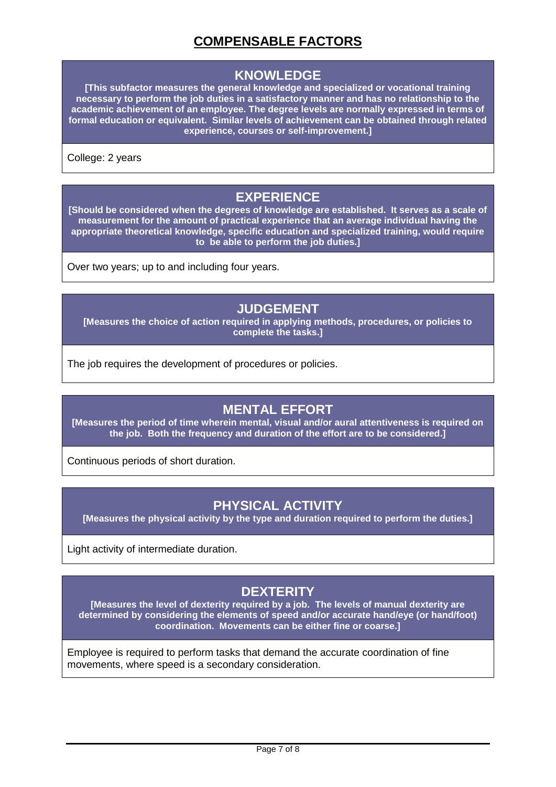# **COMPENSABLE FACTORS**

#### **KNOWLEDGE**

**[This subfactor measures the general knowledge and specialized or vocational training necessary to perform the job duties in a satisfactory manner and has no relationship to the academic achievement of an employee. The degree levels are normally expressed in terms of formal education or equivalent. Similar levels of achievement can be obtained through related experience, courses or self-improvement.]**

College: 2 years

### **EXPERIENCE**

**[Should be considered when the degrees of knowledge are established. It serves as a scale of measurement for the amount of practical experience that an average individual having the appropriate theoretical knowledge, specific education and specialized training, would require to be able to perform the job duties.]**

Over two years; up to and including four years.

#### **JUDGEMENT**

**[Measures the choice of action required in applying methods, procedures, or policies to complete the tasks.]**

The job requires the development of procedures or policies.

### **MENTAL EFFORT**

**[Measures the period of time wherein mental, visual and/or aural attentiveness is required on the job. Both the frequency and duration of the effort are to be considered.]**

Continuous periods of short duration.

### **PHYSICAL ACTIVITY**

**[Measures the physical activity by the type and duration required to perform the duties.]**

Light activity of intermediate duration.

# **DEXTERITY**

**[Measures the level of dexterity required by a job. The levels of manual dexterity are determined by considering the elements of speed and/or accurate hand/eye (or hand/foot) coordination. Movements can be either fine or coarse.]**

Employee is required to perform tasks that demand the accurate coordination of fine movements, where speed is a secondary consideration.